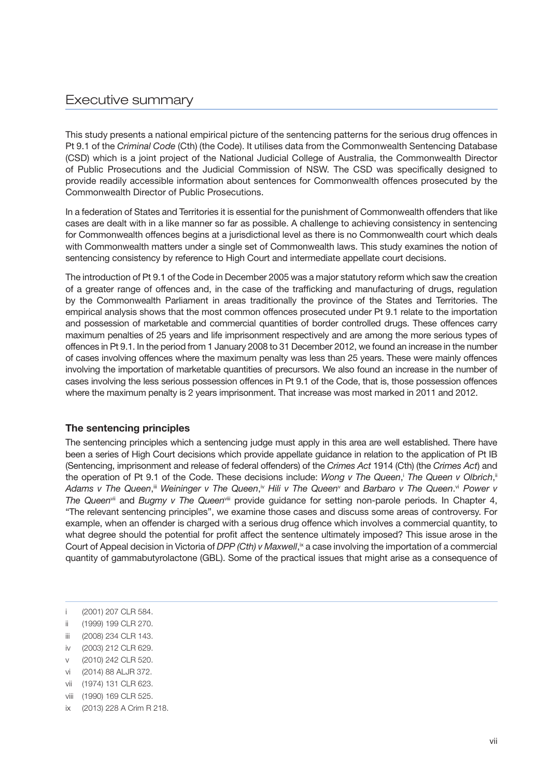## Executive summary

This study presents a national empirical picture of the sentencing patterns for the serious drug offences in Pt 9.1 of the *Criminal Code* (Cth) (the Code). It utilises data from the Commonwealth Sentencing Database (CSD) which is a joint project of the National Judicial College of Australia, the Commonwealth Director of Public Prosecutions and the Judicial Commission of NSW. The CSD was specifically designed to provide readily accessible information about sentences for Commonwealth offences prosecuted by the Commonwealth Director of Public Prosecutions.

In a federation of States and Territories it is essential for the punishment of Commonwealth offenders that like cases are dealt with in a like manner so far as possible. A challenge to achieving consistency in sentencing for Commonwealth offences begins at a jurisdictional level as there is no Commonwealth court which deals with Commonwealth matters under a single set of Commonwealth laws. This study examines the notion of sentencing consistency by reference to High Court and intermediate appellate court decisions.

The introduction of Pt 9.1 of the Code in December 2005 was a major statutory reform which saw the creation of a greater range of offences and, in the case of the trafficking and manufacturing of drugs, regulation by the Commonwealth Parliament in areas traditionally the province of the States and Territories. The empirical analysis shows that the most common offences prosecuted under Pt 9.1 relate to the importation and possession of marketable and commercial quantities of border controlled drugs. These offences carry maximum penalties of 25 years and life imprisonment respectively and are among the more serious types of offences in Pt 9.1. In the period from 1 January 2008 to 31 December 2012, we found an increase in the number of cases involving offences where the maximum penalty was less than 25 years. These were mainly offences involving the importation of marketable quantities of precursors. We also found an increase in the number of cases involving the less serious possession offences in Pt 9.1 of the Code, that is, those possession offences where the maximum penalty is 2 years imprisonment. That increase was most marked in 2011 and 2012.

## **The sentencing principles**

The sentencing principles which a sentencing judge must apply in this area are well established. There have been a series of High Court decisions which provide appellate guidance in relation to the application of Pt IB (Sentencing, imprisonment and release of federal offenders) of the *Crimes Act* 1914 (Cth) (the *Crimes Act*) and the operation of Pt 9.1 of the Code. These decisions include: *Wong v The Queen*, The Queen v Olbrich, Adams v The Queen,<sup>ii</sup> Weininger v The Queen,<sup>iv</sup> Hili v The Queen<sup>v</sup> and Barbaro v The Queen.<sup>vi</sup> Power v *The Queen*vii and *Bugmy v The Queen*viii provide guidance for setting non-parole periods. In Chapter 4, "The relevant sentencing principles", we examine those cases and discuss some areas of controversy. For example, when an offender is charged with a serious drug offence which involves a commercial quantity, to what degree should the potential for profit affect the sentence ultimately imposed? This issue arose in the Court of Appeal decision in Victoria of *DPP (Cth) v Maxwell*,<sup>x</sup> a case involving the importation of a commercial quantity of gammabutyrolactone (GBL). Some of the practical issues that might arise as a consequence of

- i (2001) 207 CLR 584.
- ii (1999) 199 CLR 270.
- iii (2008) 234 CLR 143.
- iv (2003) 212 CLR 629.
- v (2010) 242 CLR 520.
- vi (2014) 88 ALJR 372.
- vii (1974) 131 CLR 623.
- viii (1990) 169 CLR 525.
- ix (2013) 228 A Crim R 218.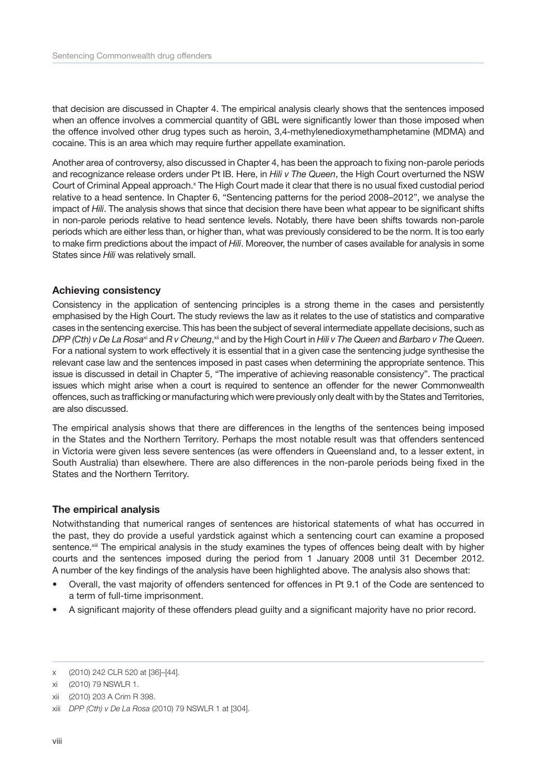that decision are discussed in Chapter 4. The empirical analysis clearly shows that the sentences imposed when an offence involves a commercial quantity of GBL were significantly lower than those imposed when the offence involved other drug types such as heroin, 3,4-methylenedioxymethamphetamine (MDMA) and cocaine. This is an area which may require further appellate examination.

Another area of controversy, also discussed in Chapter 4, has been the approach to fixing non-parole periods and recognizance release orders under Pt IB. Here, in *Hili v The Queen*, the High Court overturned the NSW Court of Criminal Appeal approach.<sup>x</sup> The High Court made it clear that there is no usual fixed custodial period relative to a head sentence. In Chapter 6, "Sentencing patterns for the period 2008–2012", we analyse the impact of *Hili*. The analysis shows that since that decision there have been what appear to be significant shifts in non-parole periods relative to head sentence levels. Notably, there have been shifts towards non-parole periods which are either less than, or higher than, what was previously considered to be the norm. It is too early to make firm predictions about the impact of *Hili*. Moreover, the number of cases available for analysis in some States since *Hili* was relatively small.

## **Achieving consistency**

Consistency in the application of sentencing principles is a strong theme in the cases and persistently emphasised by the High Court. The study reviews the law as it relates to the use of statistics and comparative cases in the sentencing exercise. This has been the subject of several intermediate appellate decisions, such as *DPP (Cth) v De La Rosa*xi and *R v Cheung*, xii and by the High Court in *Hili v The Queen* and *Barbaro v The Queen*. For a national system to work effectively it is essential that in a given case the sentencing judge synthesise the relevant case law and the sentences imposed in past cases when determining the appropriate sentence. This issue is discussed in detail in Chapter 5, "The imperative of achieving reasonable consistency". The practical issues which might arise when a court is required to sentence an offender for the newer Commonwealth offences, such as trafficking or manufacturing which were previously only dealt with by the States and Territories, are also discussed.

The empirical analysis shows that there are differences in the lengths of the sentences being imposed in the States and the Northern Territory. Perhaps the most notable result was that offenders sentenced in Victoria were given less severe sentences (as were offenders in Queensland and, to a lesser extent, in South Australia) than elsewhere. There are also differences in the non-parole periods being fixed in the States and the Northern Territory.

## **The empirical analysis**

Notwithstanding that numerical ranges of sentences are historical statements of what has occurred in the past, they do provide a useful yardstick against which a sentencing court can examine a proposed sentence.<sup>xiii</sup> The empirical analysis in the study examines the types of offences being dealt with by higher courts and the sentences imposed during the period from 1 January 2008 until 31 December 2012. A number of the key findings of the analysis have been highlighted above. The analysis also shows that:

- Overall, the vast majority of offenders sentenced for offences in Pt 9.1 of the Code are sentenced to a term of full-time imprisonment.
- A significant majority of these offenders plead guilty and a significant majority have no prior record.

x (2010) 242 CLR 520 at [36]–[44].

xi (2010) 79 NSWLR 1.

xii (2010) 203 A Crim R 398.

xiii *DPP (Cth) v De La Rosa* (2010) 79 NSWLR 1 at [304].